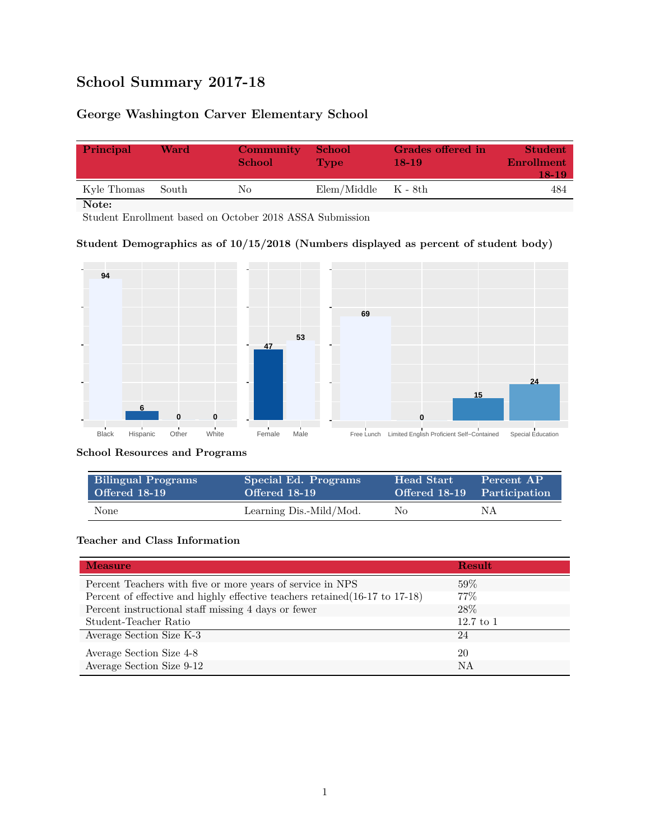# **School Summary 2017-18**

## **George Washington Carver Elementary School**

| Principal   | Ward  | Community<br><b>School</b> | - School<br><b>Type</b> | Grades offered in<br>18-19 | <b>Student</b><br><b>Enrollment</b><br>18-19 |
|-------------|-------|----------------------------|-------------------------|----------------------------|----------------------------------------------|
| Kyle Thomas | South | Nο                         | $Elem/Middle$ $K - 8th$ |                            | 484                                          |

**Note:**

Student Enrollment based on October 2018 ASSA Submission

#### **Student Demographics as of 10/15/2018 (Numbers displayed as percent of student body)**



#### **School Resources and Programs**

| <b>Bilingual Programs</b> | Special Ed. Programs    | <b>Head Start</b> | Percent AP                  |
|---------------------------|-------------------------|-------------------|-----------------------------|
| Offered 18-19             | Offered 18-19           |                   | Offered 18-19 Participation |
| None                      | Learning Dis.-Mild/Mod. | No                | ΝA                          |

#### **Teacher and Class Information**

| <b>Measure</b>                                                               | <b>Result</b> |
|------------------------------------------------------------------------------|---------------|
| Percent Teachers with five or more years of service in NPS                   | $59\%$        |
| Percent of effective and highly effective teachers retained (16-17 to 17-18) | $77\%$        |
| Percent instructional staff missing 4 days or fewer                          | 28\%          |
| Student-Teacher Ratio                                                        | $12.7$ to $1$ |
| Average Section Size K-3                                                     | 24            |
| Average Section Size 4-8                                                     | 20            |
| Average Section Size 9-12                                                    | NA            |